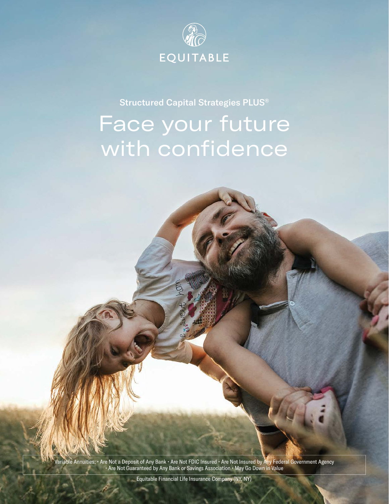

Structured Capital Strategies PLUS®

## Face your future with confidence

Variable Annuities: • Are Not a Deposit of Any Bank • Are Not FDIC Insured • Are Not Insured by Any Federal Government Agency • Are Not Guaranteed by Any Bank or Savings Association • May Go Down in Value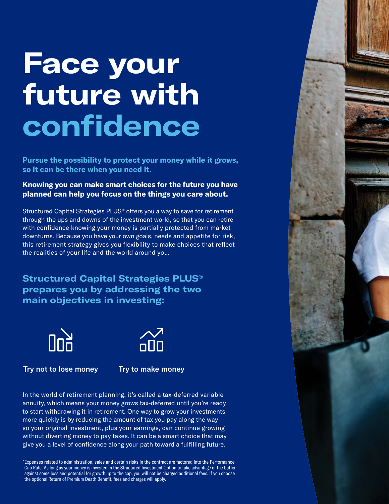# **Face your future with confidence**

**Pursue the possibility to protect your money while it grows, so it can be there when you need it.** 

## **Knowing you can make smart choices for the future you have planned can help you focus on the things you care about.**

Structured Capital Strategies PLUS® offers you a way to save for retirement through the ups and downs of the investment world, so that you can retire with confidence knowing your money is partially protected from market downturns. Because you have your own goals, needs and appetite for risk, this retirement strategy gives you flexibility to make choices that reflect the realities of your life and the world around you.

**Structured Capital Strategies PLUS® prepares you by addressing the two main objectives in investing:**





Try not to lose money Try to make money

In the world of retirement planning, it's called a tax-deferred variable annuity, which means your money grows tax-deferred until you're ready to start withdrawing it in retirement. One way to grow your investments more quickly is by reducing the amount of tax you pay along the way  $$ so your original investment, plus your earnings, can continue growing without diverting money to pay taxes. It can be a smart choice that may give you a level of confidence along your path toward a fulfilling future.

\*Expenses related to administration, sales and certain risks in the contract are factored into the Performance Cap Rate. As long as your money is invested in the Structured Investment Option to take advantage of the buffer against some loss and potential for growth up to the cap, you will not be charged additional fees. If you choose the optional Return of Premium Death Benefit, fees and charges will apply.

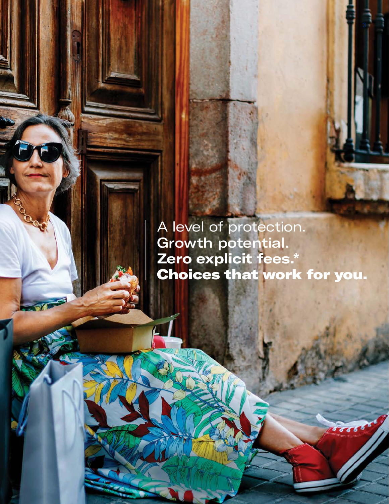A level of protection. Growth potential. **Zero explicit fees.\*** Choices that work for you.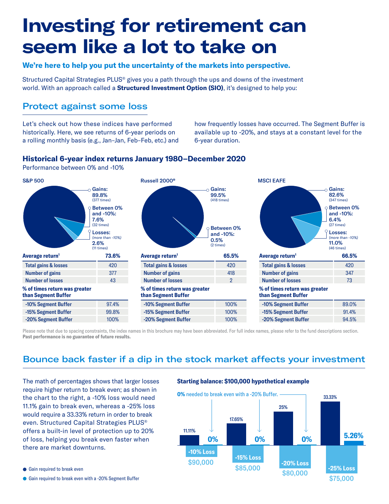## **Investing for retirement can seem like a lot to take on**

#### **We're here to help you put the uncertainty of the markets into perspective.**

Structured Capital Strategies PLUS® gives you a path through the ups and downs of the investment world. With an approach called a **Structured Investment Option (SIO)**, it's designed to help you:

## Protect against some loss

Let's check out how these indices have performed historically. Here, we see returns of 6-year periods on a rolling monthly basis (e.g., Jan–Jan, Feb–Feb, etc.) and how frequently losses have occurred. The Segment Buffer is available up to -20%, and stays at a constant level for the 6-year duration.

### **Historical 6-year index returns January 1980–December 2020**

Performance between 0% and -10%



Please note that due to spacing constraints, the index names in this brochure may have been abbreviated. For full index names, please refer to the fund descriptions section. **Past performance is no guarantee of future results.**

## Bounce back faster if a dip in the stock market affects your investment

The math of percentages shows that larger losses require higher return to break even; as shown in the chart to the right, a -10% loss would need 11.1% gain to break even, whereas a -25% loss would require a 33.33% return in order to break even. Structured Capital Strategies PLUS® offers a built-in level of protection up to 20% of loss, helping you break even faster when there are market downturns.

#### ● Gain required to break even

Gain required to break even with a -20% Segment Buffer

#### **Starting balance: \$100,000 hypothetical example**

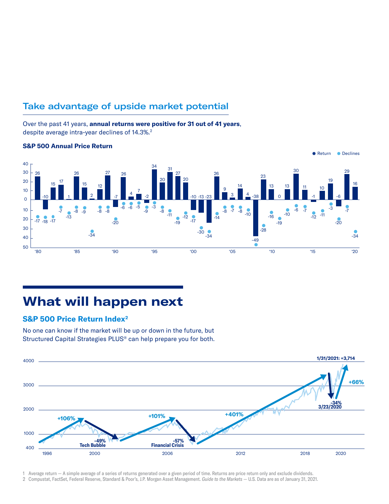## Take advantage of upside market potential

Over the past 41 years, **annual returns were positive for 31 out of 41 years**, despite average intra-year declines of 14.3%.<sup>2</sup>



#### **S&P 500 Annual Price Return**

## **What will happen next**

## **S&P 500 Price Return Index2**

No one can know if the market will be up or down in the future, but Structured Capital Strategies PLUS® can help prepare you for both.



1 Average return — A simple average of a series of returns generated over a given period of time. Returns are price return only and exclude dividends.

2 Compustat, FactSet, Federal Reserve, Standard & Poor's, J.P. Morgan Asset Management. *Guide to the Markets* — U.S. Data are as of January 31, 2021.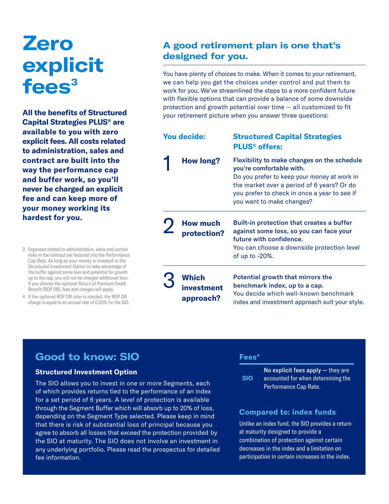## **Zero explicit fees3**

**All the benefits of Structured Capital Strategies PLUS® are available to you with zero explicit fees. All costs related to administration, sales and contract are built into the way the performance cap and buffer work, so you'll never be charged an explicit fee and can keep more of your money working its hardest for you.**

- 3 Expenses related to administration, sales and certain risks in the contract are factored into the Performance Cap Rate. As long as your money is invested in the Structured Investment Option to take advantage of the buffer against some loss and potential for growth up to the cap, you will not be charged additional fees. If you choose the optional Return of Premium Death Benefit (ROP DB), fees and charges will apply.
- 4 If the optional ROP DB rider is elected, the ROP DB charge is equal to an annual rate of 0.20% for the SIO.

## **A good retirement plan is one that's designed for you.**

You have plenty of choices to make. When it comes to your retirement, we can help you get the choices under control and put them to work for you. We've streamlined the steps to a more confident future with flexible options that can provide a balance of some downside protection and growth potential over time — all customized to fit your retirement picture when you answer three questions:

| <b>You decide:</b> |                                  | <b>Structured Capital Strategies</b><br><b>PLUS<sup>®</sup></b> offers:                                                                                                                                                                           |
|--------------------|----------------------------------|---------------------------------------------------------------------------------------------------------------------------------------------------------------------------------------------------------------------------------------------------|
|                    | <b>How long?</b>                 | Flexibility to make changes on the schedule<br>you're comfortable with.<br>Do you prefer to keep your money at work in<br>the market over a period of 6 years? Or do<br>you prefer to check in once a year to see if<br>you want to make changes? |
|                    | <b>How much</b><br>protection?   | <b>Built-in protection that creates a buffer</b><br>against some loss, so you can face your<br>future with confidence.<br>You can choose a downside protection level<br>of up to -20%.                                                            |
|                    | Which<br>investment<br>approach? | Potential growth that mirrors the<br>benchmark index, up to a cap.<br>You decide which well-known benchmark<br>index and investment approach suit your style.                                                                                     |

## **Good to know: SIO**

#### **Structured Investment Option**

The SIO allows you to invest in one or more Segments, each of which provides returns tied to the performance of an index for a set period of 6 years. A level of protection is available through the Segment Buffer which will absorb up to 20% of loss, depending on the Segment Type selected. Please keep in mind that there is risk of substantial loss of principal because you agree to absorb all losses that exceed the protection provided by the SIO at maturity. The SIO does not involve an investment in any underlying portfolio. Please read the prospectus for detailed fee information.

#### **Fees4**

**SIO** No explicit fees apply — they are accounted for when determining the Performance Cap Rate.

### **Compared to: index funds**

Unlike an index fund, the SIO provides a return at maturity designed to provide a combination of protection against certain decreases in the index and a limitation on participation in certain increases in the index.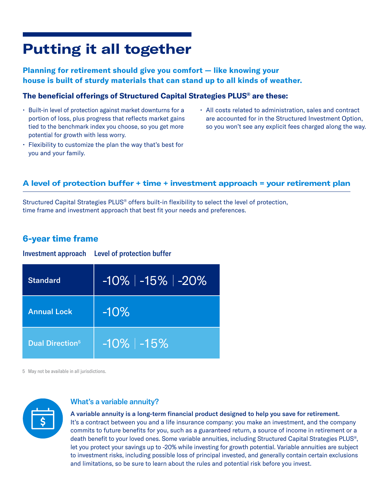## **Putting it all together**

## **Planning for retirement should give you comfort — like knowing your house is built of sturdy materials that can stand up to all kinds of weather.**

### **The beneficial offerings of Structured Capital Strategies PLUS® are these:**

- Built-in level of protection against market downturns for a portion of loss, plus progress that reflects market gains tied to the benchmark index you choose, so you get more potential for growth with less worry.
- Flexibility to customize the plan the way that's best for you and your family.
- All costs related to administration, sales and contract are accounted for in the Structured Investment Option, so you won't see any explicit fees charged along the way.

## **A level of protection buffer + time + investment approach = your retirement plan**

Structured Capital Strategies PLUS® offers built-in flexibility to select the level of protection, time frame and investment approach that best fit your needs and preferences.

## **6-year time frame**

Investment approach Level of protection buffer

| <b>Standard</b>                    | $-10\%$   $-15\%$   $-20\%$ |
|------------------------------------|-----------------------------|
| <b>Annual Lock</b>                 | $-10\%$                     |
| <b>Dual Direction</b> <sup>5</sup> | $-10\%$   $-15\%$           |

5 May not be available in all jurisdictions.



## What's a variable annuity?

#### A variable annuity is a long-term financial product designed to help you save for retirement.

It's a contract between you and a life insurance company: you make an investment, and the company commits to future benefits for you, such as a guaranteed return, a source of income in retirement or a death benefit to your loved ones. Some variable annuities, including Structured Capital Strategies PLUS®, let you protect your savings up to -20% while investing for growth potential. Variable annuities are subject to investment risks, including possible loss of principal invested, and generally contain certain exclusions and limitations, so be sure to learn about the rules and potential risk before you invest.